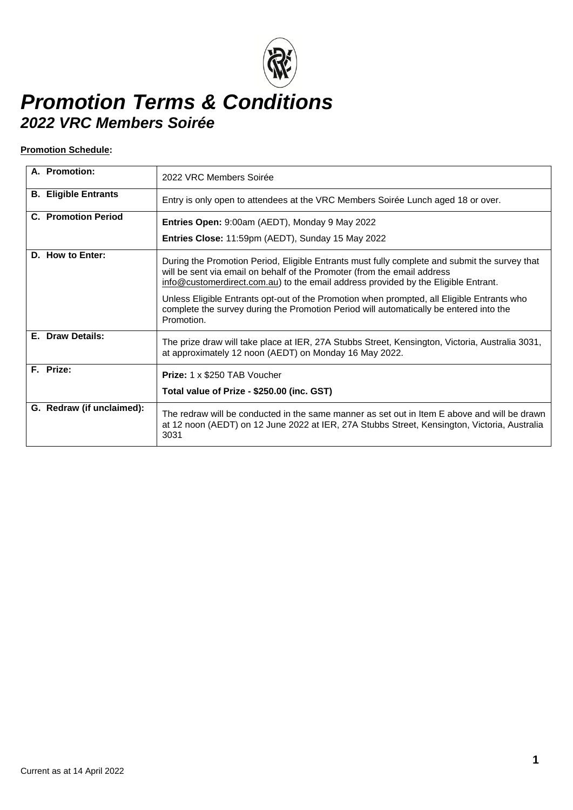#### **Promotion Schedule:**

| A. Promotion:               | 2022 VRC Members Soirée                                                                                                                                                                                                                                         |
|-----------------------------|-----------------------------------------------------------------------------------------------------------------------------------------------------------------------------------------------------------------------------------------------------------------|
| <b>B.</b> Eligible Entrants | Entry is only open to attendees at the VRC Members Soirée Lunch aged 18 or over.                                                                                                                                                                                |
| <b>C.</b> Promotion Period  | Entries Open: 9:00am (AEDT), Monday 9 May 2022                                                                                                                                                                                                                  |
|                             | Entries Close: 11:59pm (AEDT), Sunday 15 May 2022                                                                                                                                                                                                               |
| D. How to Enter:            | During the Promotion Period, Eligible Entrants must fully complete and submit the survey that<br>will be sent via email on behalf of the Promoter (from the email address<br>info@customerdirect.com.au) to the email address provided by the Eligible Entrant. |
|                             | Unless Eligible Entrants opt-out of the Promotion when prompted, all Eligible Entrants who<br>complete the survey during the Promotion Period will automatically be entered into the<br>Promotion.                                                              |
| E. Draw Details:            | The prize draw will take place at IER, 27A Stubbs Street, Kensington, Victoria, Australia 3031,<br>at approximately 12 noon (AEDT) on Monday 16 May 2022.                                                                                                       |
| F. Prize:                   | <b>Prize:</b> 1 x \$250 TAB Voucher                                                                                                                                                                                                                             |
|                             | Total value of Prize - \$250.00 (inc. GST)                                                                                                                                                                                                                      |
| G. Redraw (if unclaimed):   | The redraw will be conducted in the same manner as set out in Item E above and will be drawn<br>at 12 noon (AEDT) on 12 June 2022 at IER, 27A Stubbs Street, Kensington, Victoria, Australia<br>3031                                                            |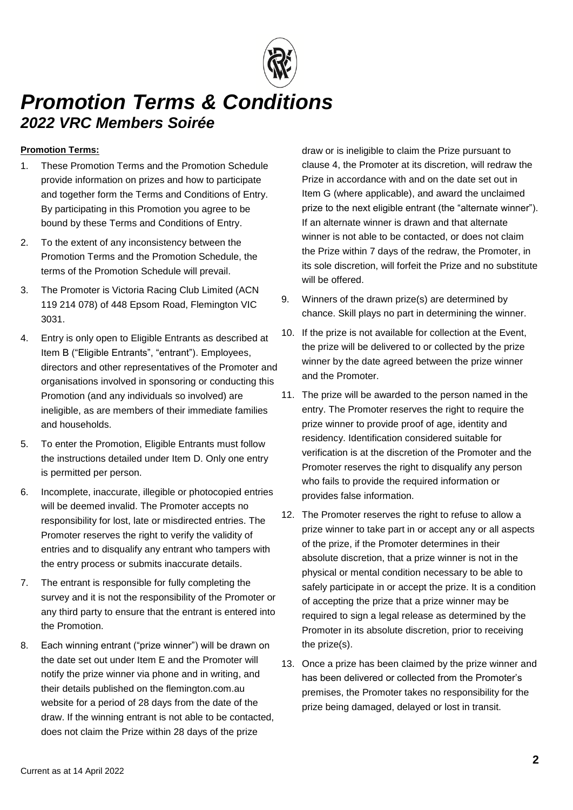#### **Promotion Terms:**

- 1. These Promotion Terms and the Promotion Schedule provide information on prizes and how to participate and together form the Terms and Conditions of Entry. By participating in this Promotion you agree to be bound by these Terms and Conditions of Entry.
- 2. To the extent of any inconsistency between the Promotion Terms and the Promotion Schedule, the terms of the Promotion Schedule will prevail.
- 3. The Promoter is Victoria Racing Club Limited (ACN 119 214 078) of 448 Epsom Road, Flemington VIC 3031.
- <span id="page-1-0"></span>4. Entry is only open to Eligible Entrants as described at Item B ("Eligible Entrants", "entrant"). Employees, directors and other representatives of the Promoter and organisations involved in sponsoring or conducting this Promotion (and any individuals so involved) are ineligible, as are members of their immediate families and households.
- 5. To enter the Promotion, Eligible Entrants must follow the instructions detailed under Item D. Only one entry is permitted per person.
- 6. Incomplete, inaccurate, illegible or photocopied entries will be deemed invalid. The Promoter accepts no responsibility for lost, late or misdirected entries. The Promoter reserves the right to verify the validity of entries and to disqualify any entrant who tampers with the entry process or submits inaccurate details.
- 7. The entrant is responsible for fully completing the survey and it is not the responsibility of the Promoter or any third party to ensure that the entrant is entered into the Promotion.
- 8. Each winning entrant ("prize winner") will be drawn on the date set out under Item E and the Promoter will notify the prize winner via phone and in writing, and their details published on the flemington.com.au website for a period of 28 days from the date of the draw. If the winning entrant is not able to be contacted, does not claim the Prize within 28 days of the prize

draw or is ineligible to claim the Prize pursuant to clause [4,](#page-1-0) the Promoter at its discretion, will redraw the Prize in accordance with and on the date set out in Item G (where applicable), and award the unclaimed prize to the next eligible entrant (the "alternate winner"). If an alternate winner is drawn and that alternate winner is not able to be contacted, or does not claim the Prize within 7 days of the redraw, the Promoter, in its sole discretion, will forfeit the Prize and no substitute will be offered.

- 9. Winners of the drawn prize(s) are determined by chance. Skill plays no part in determining the winner.
- 10. If the prize is not available for collection at the Event, the prize will be delivered to or collected by the prize winner by the date agreed between the prize winner and the Promoter.
- 11. The prize will be awarded to the person named in the entry. The Promoter reserves the right to require the prize winner to provide proof of age, identity and residency. Identification considered suitable for verification is at the discretion of the Promoter and the Promoter reserves the right to disqualify any person who fails to provide the required information or provides false information.
- 12. The Promoter reserves the right to refuse to allow a prize winner to take part in or accept any or all aspects of the prize, if the Promoter determines in their absolute discretion, that a prize winner is not in the physical or mental condition necessary to be able to safely participate in or accept the prize. It is a condition of accepting the prize that a prize winner may be required to sign a legal release as determined by the Promoter in its absolute discretion, prior to receiving the prize(s).
- 13. Once a prize has been claimed by the prize winner and has been delivered or collected from the Promoter's premises, the Promoter takes no responsibility for the prize being damaged, delayed or lost in transit.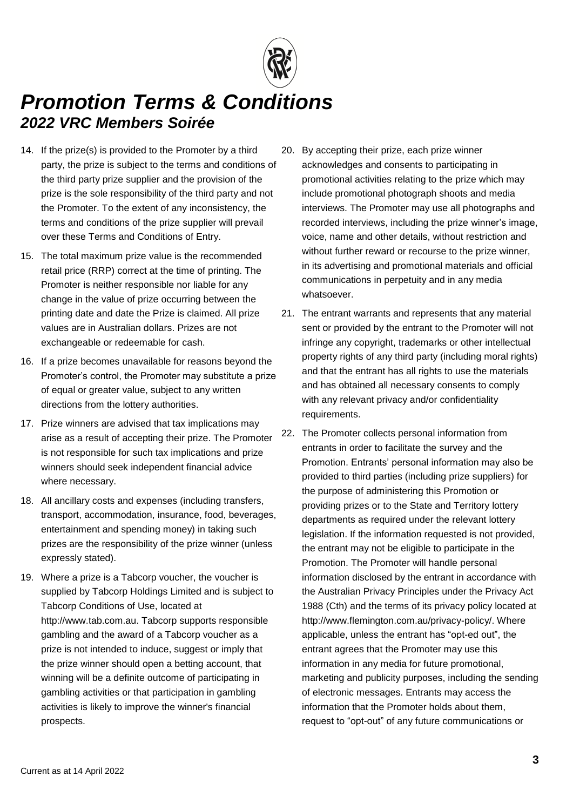- 14. If the prize(s) is provided to the Promoter by a third party, the prize is subject to the terms and conditions of the third party prize supplier and the provision of the prize is the sole responsibility of the third party and not the Promoter. To the extent of any inconsistency, the terms and conditions of the prize supplier will prevail over these Terms and Conditions of Entry.
- 15. The total maximum prize value is the recommended retail price (RRP) correct at the time of printing. The Promoter is neither responsible nor liable for any change in the value of prize occurring between the printing date and date the Prize is claimed. All prize values are in Australian dollars. Prizes are not exchangeable or redeemable for cash.
- 16. If a prize becomes unavailable for reasons beyond the Promoter's control, the Promoter may substitute a prize of equal or greater value, subject to any written directions from the lottery authorities.
- 17. Prize winners are advised that tax implications may arise as a result of accepting their prize. The Promoter is not responsible for such tax implications and prize winners should seek independent financial advice where necessary.
- 18. All ancillary costs and expenses (including transfers, transport, accommodation, insurance, food, beverages, entertainment and spending money) in taking such prizes are the responsibility of the prize winner (unless expressly stated).
- 19. Where a prize is a Tabcorp voucher, the voucher is supplied by Tabcorp Holdings Limited and is subject to Tabcorp Conditions of Use, located at http://www.tab.com.au. Tabcorp supports responsible gambling and the award of a Tabcorp voucher as a prize is not intended to induce, suggest or imply that the prize winner should open a betting account, that winning will be a definite outcome of participating in gambling activities or that participation in gambling activities is likely to improve the winner's financial prospects.
- 20. By accepting their prize, each prize winner acknowledges and consents to participating in promotional activities relating to the prize which may include promotional photograph shoots and media interviews. The Promoter may use all photographs and recorded interviews, including the prize winner's image, voice, name and other details, without restriction and without further reward or recourse to the prize winner. in its advertising and promotional materials and official communications in perpetuity and in any media whatsoever.
- 21. The entrant warrants and represents that any material sent or provided by the entrant to the Promoter will not infringe any copyright, trademarks or other intellectual property rights of any third party (including moral rights) and that the entrant has all rights to use the materials and has obtained all necessary consents to comply with any relevant privacy and/or confidentiality requirements.
- 22. The Promoter collects personal information from entrants in order to facilitate the survey and the Promotion. Entrants' personal information may also be provided to third parties (including prize suppliers) for the purpose of administering this Promotion or providing prizes or to the State and Territory lottery departments as required under the relevant lottery legislation. If the information requested is not provided, the entrant may not be eligible to participate in the Promotion. The Promoter will handle personal information disclosed by the entrant in accordance with the Australian Privacy Principles under the Privacy Act 1988 (Cth) and the terms of its privacy policy located at http://www.flemington.com.au/privacy-policy/. Where applicable, unless the entrant has "opt-ed out", the entrant agrees that the Promoter may use this information in any media for future promotional, marketing and publicity purposes, including the sending of electronic messages. Entrants may access the information that the Promoter holds about them, request to "opt-out" of any future communications or